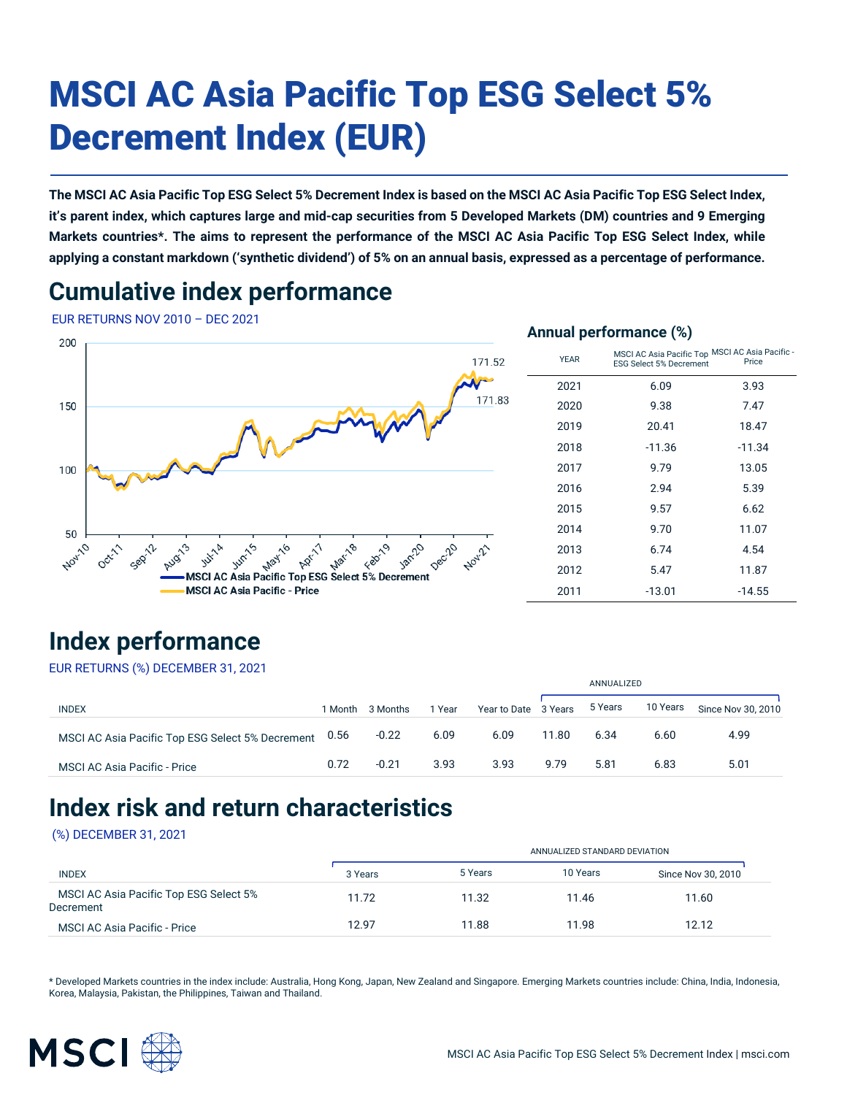# MSCI AC Asia Pacific Top ESG Select 5% Decrement Index (EUR)

**The MSCI AC Asia Pacific Top ESG Select 5% Decrement Index is based on the MSCI AC Asia Pacific Top ESG Select Index, it's parent index, which captures large and mid-cap securities from 5 Developed Markets (DM) countries and 9 Emerging Markets countries\*. The aims to represent the performance of the MSCI AC Asia Pacific Top ESG Select Index, while applying a constant markdown ('synthetic dividend') of 5% on an annual basis, expressed as a percentage of performance.**

# **Cumulative index performance**

EUR RETURNS NOV 2010 – DEC 2021



| 200                                              |             | $\sim$ $\sim$                                                              |          |
|--------------------------------------------------|-------------|----------------------------------------------------------------------------|----------|
| 171.52                                           | <b>YEAR</b> | MSCI AC Asia Pacific Top MSCI AC Asia Pacific -<br>ESG Select 5% Decrement | Price    |
|                                                  | 2021        | 6.09                                                                       | 3.93     |
| 171.83<br>150                                    | 2020        | 9.38                                                                       | 7.47     |
|                                                  | 2019        | 20.41                                                                      | 18.47    |
|                                                  | 2018        | $-11.36$                                                                   | $-11.34$ |
| 100                                              | 2017        | 9.79                                                                       | 13.05    |
|                                                  | 2016        | 2.94                                                                       | 5.39     |
|                                                  | 2015        | 9.57                                                                       | 6.62     |
| 50                                               | 2014        | 9.70                                                                       | 11.07    |
| Nov-10<br>Mar-18<br>May16<br>ADr.                | 2013        | 6.74                                                                       | 4.54     |
| MSCI AC Asia Pacific Top ESG Select 5% Decrement | 2012        | 5.47                                                                       | 11.87    |
| MSCI AC Asia Pacific - Price                     | 2011        | $-13.01$                                                                   | $-14.55$ |
|                                                  |             |                                                                            |          |

# **Index performance**

EUR RETURNS (%) DECEMBER 31, 2021

|                                                       |         |          |        |                      | ANNUALIZED |         |          |                    |
|-------------------------------------------------------|---------|----------|--------|----------------------|------------|---------|----------|--------------------|
| <b>INDEX</b>                                          | 1 Month | 3 Months | 1 Year | Year to Date 3 Years |            | 5 Years | 10 Years | Since Nov 30, 2010 |
| MSCI AC Asia Pacific Top ESG Select 5% Decrement 0.56 |         | $-0.22$  | 6.09   | 6.09                 | 11.80      | 6.34    | 6.60     | 4.99               |
| <b>MSCI AC Asia Pacific - Price</b>                   | 0.72    | $-0.21$  | 3.93   | 3.93                 | 9.79       | 5.81    | 6.83     | 5.01               |

## **Index risk and return characteristics**

#### (%) DECEMBER 31, 2021

|                                                     |         | ANNUALIZED STANDARD DEVIATION |          |                    |  |  |  |  |
|-----------------------------------------------------|---------|-------------------------------|----------|--------------------|--|--|--|--|
| <b>INDEX</b>                                        | 3 Years | 5 Years                       | 10 Years | Since Nov 30, 2010 |  |  |  |  |
| MSCI AC Asia Pacific Top ESG Select 5%<br>Decrement | 11.72   | 11.32                         | 11.46    | 11.60              |  |  |  |  |
| <b>MSCI AC Asia Pacific - Price</b>                 | 12.97   | 11.88                         | 11.98    | 12.12              |  |  |  |  |

\* Developed Markets countries in the index include: Australia, Hong Kong, Japan, New Zealand and Singapore. Emerging Markets countries include: China, India, Indonesia, Korea, Malaysia, Pakistan, the Philippines, Taiwan and Thailand.